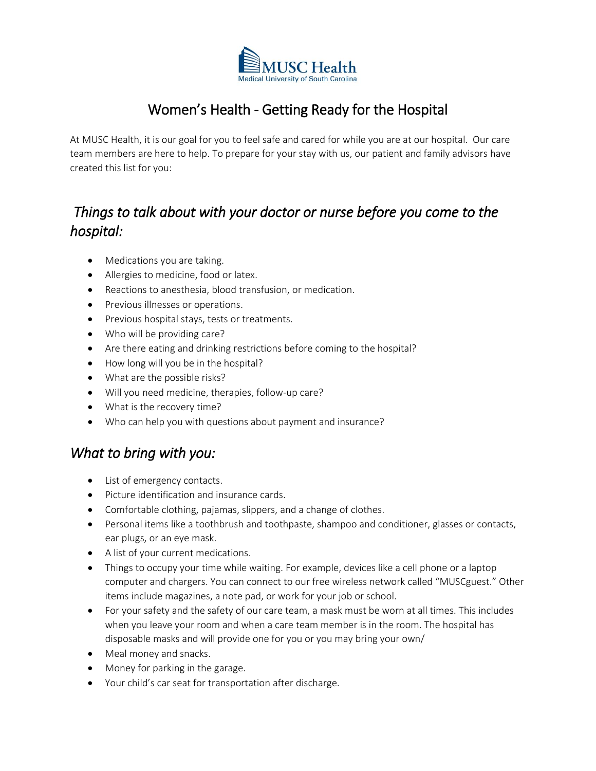

# Women's Health - Getting Ready for the Hospital

At MUSC Health, it is our goal for you to feel safe and cared for while you are at our hospital. Our care team members are here to help. To prepare for your stay with us, our patient and family advisors have created this list for you:

## *Things to talk about with your doctor or nurse before you come to the hospital:*

- Medications you are taking.
- Allergies to medicine, food or latex.
- Reactions to anesthesia, blood transfusion, or medication.
- Previous illnesses or operations.
- Previous hospital stays, tests or treatments.
- Who will be providing care?
- Are there eating and drinking restrictions before coming to the hospital?
- How long will you be in the hospital?
- What are the possible risks?
- Will you need medicine, therapies, follow-up care?
- What is the recovery time?
- Who can help you with questions about payment and insurance?

### *What to bring with you:*

- List of emergency contacts.
- Picture identification and insurance cards.
- Comfortable clothing, pajamas, slippers, and a change of clothes.
- Personal items like a toothbrush and toothpaste, shampoo and conditioner, glasses or contacts, ear plugs, or an eye mask.
- A list of your current medications.
- Things to occupy your time while waiting. For example, devices like a cell phone or a laptop computer and chargers. You can connect to our free wireless network called "MUSCguest." Other items include magazines, a note pad, or work for your job or school.
- For your safety and the safety of our care team, a mask must be worn at all times. This includes when you leave your room and when a care team member is in the room. The hospital has disposable masks and will provide one for you or you may bring your own/
- Meal money and snacks.
- Money for parking in the garage.
- Your child's car seat for transportation after discharge.